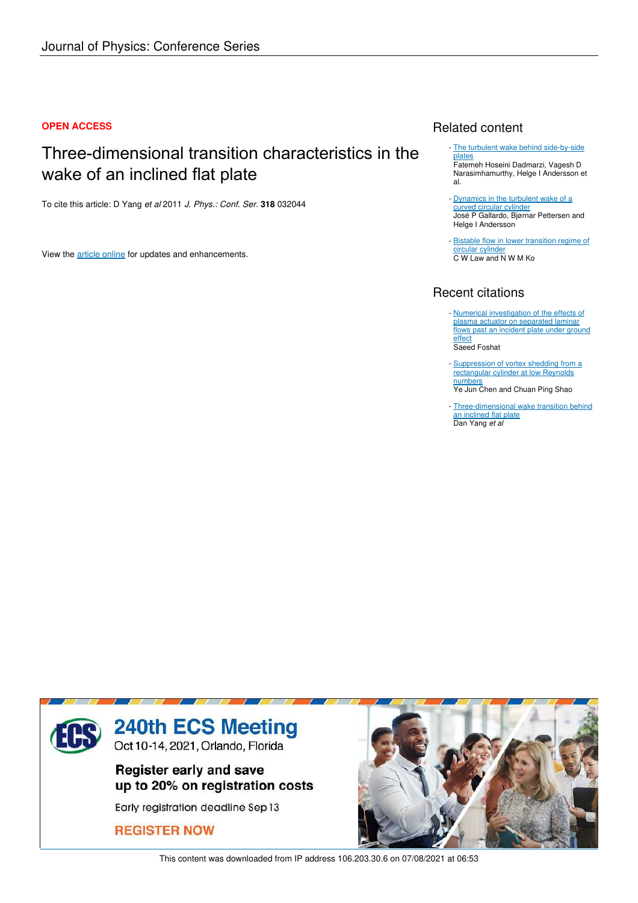#### **OPEN ACCESS**

## Three-dimensional transition characteristics in the wake of an inclined flat plate

To cite this article: D Yang *et al* 2011 *J. Phys.: Conf. Ser.* **318** 032044

View the article online for updates and enhancements.

### Related content

- The turbulent wake behind side-by-side plates Fatemeh Hoseini Dadmarzi, Vagesh D Narasimhamurthy, Helge I Andersson et al.
- Dynamics in the turbulent wake of a curved circular cylinder José P Gallardo, Bjørnar Pettersen and Helge I Andersson
- **Bistable flow in lower transition regime of** circular cylinder C W Law and N W M Ko

## Recent citations

- Numerical investigation of the effects of plasma actuator on separated laminar flows past an incident plate under ground <u>effect</u> Saeed Foshat
- Suppression of vortex shedding from a rectangular cylinder at low Reynolds numbers Ye Jun Chen and Chuan Ping Shao -
- Three-dimensional wake transition behind an inclined flat plate Dan Yang *et al*



This content was downloaded from IP address 106.203.30.6 on 07/08/2021 at 06:53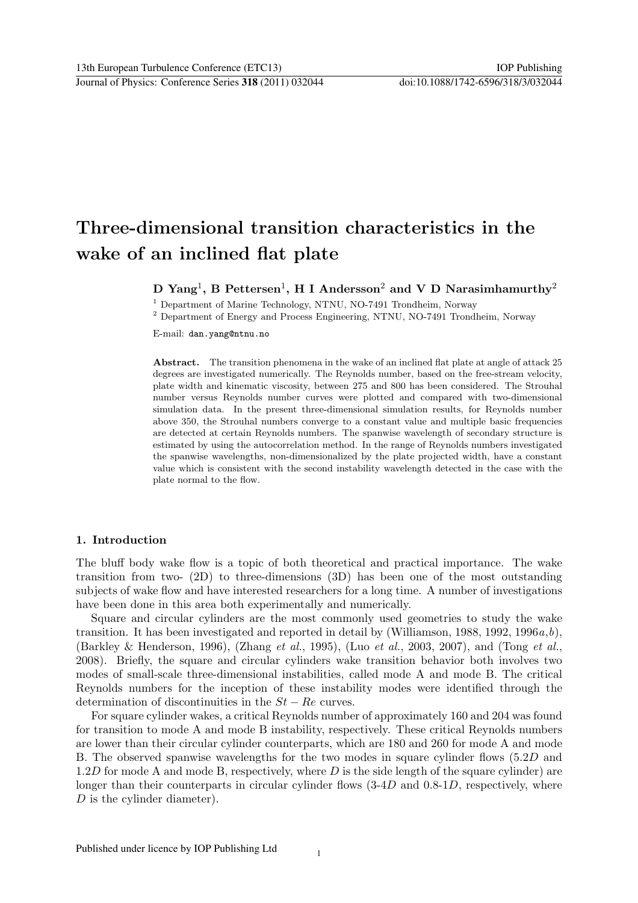# Three-dimensional transition characteristics in the wake of an inclined flat plate

## D Yang<sup>1</sup>, B Pettersen<sup>1</sup>, H I Andersson<sup>2</sup> and V D Narasimhamurthy<sup>2</sup>

<sup>1</sup> Department of Marine Technology, NTNU, NO-7491 Trondheim, Norway

<sup>2</sup> Department of Energy and Process Engineering, NTNU, NO-7491 Trondheim, Norway

E-mail: dan.yang@ntnu.no

Abstract. The transition phenomena in the wake of an inclined flat plate at angle of attack 25 degrees are investigated numerically. The Reynolds number, based on the free-stream velocity, plate width and kinematic viscosity, between 275 and 800 has been considered. The Strouhal number versus Reynolds number curves were plotted and compared with two-dimensional simulation data. In the present three-dimensional simulation results, for Reynolds number above 350, the Strouhal numbers converge to a constant value and multiple basic frequencies are detected at certain Reynolds numbers. The spanwise wavelength of secondary structure is estimated by using the autocorrelation method. In the range of Reynolds numbers investigated the spanwise wavelengths, non-dimensionalized by the plate projected width, have a constant value which is consistent with the second instability wavelength detected in the case with the plate normal to the flow.

#### 1. Introduction

The bluff body wake flow is a topic of both theoretical and practical importance. The wake transition from two- (2D) to three-dimensions (3D) has been one of the most outstanding subjects of wake flow and have interested researchers for a long time. A number of investigations have been done in this area both experimentally and numerically.

Square and circular cylinders are the most commonly used geometries to study the wake transition. It has been investigated and reported in detail by (Williamson, 1988, 1992, 1996 $a,b$ ), (Barkley & Henderson, 1996), (Zhang et al., 1995), (Luo et al., 2003, 2007), and (Tong et al., 2008). Briefly, the square and circular cylinders wake transition behavior both involves two modes of small-scale three-dimensional instabilities, called mode A and mode B. The critical Reynolds numbers for the inception of these instability modes were identified through the determination of discontinuities in the  $St - Re$  curves.

For square cylinder wakes, a critical Reynolds number of approximately 160 and 204 was found for transition to mode A and mode B instability, respectively. These critical Reynolds numbers are lower than their circular cylinder counterparts, which are 180 and 260 for mode A and mode B. The observed spanwise wavelengths for the two modes in square cylinder flows (5.2D and  $1.2D$  for mode A and mode B, respectively, where D is the side length of the square cylinder) are longer than their counterparts in circular cylinder flows  $(3-4D)$  and  $(0.8-1D)$ , respectively, where D is the cylinder diameter).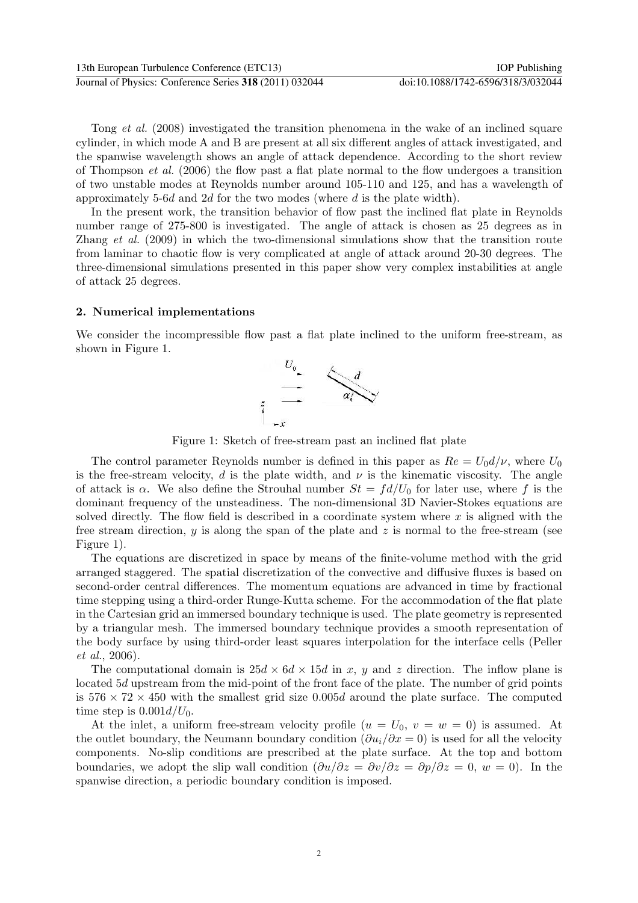Tong et al. (2008) investigated the transition phenomena in the wake of an inclined square cylinder, in which mode A and B are present at all six different angles of attack investigated, and the spanwise wavelength shows an angle of attack dependence. According to the short review of Thompson et al. (2006) the flow past a flat plate normal to the flow undergoes a transition of two unstable modes at Reynolds number around 105-110 and 125, and has a wavelength of approximately 5-6d and 2d for the two modes (where d is the plate width).

In the present work, the transition behavior of flow past the inclined flat plate in Reynolds number range of 275-800 is investigated. The angle of attack is chosen as 25 degrees as in Zhang et al. (2009) in which the two-dimensional simulations show that the transition route from laminar to chaotic flow is very complicated at angle of attack around 20-30 degrees. The three-dimensional simulations presented in this paper show very complex instabilities at angle of attack 25 degrees.

#### 2. Numerical implementations

We consider the incompressible flow past a flat plate inclined to the uniform free-stream, as shown in Figure 1.



Figure 1: Sketch of free-stream past an inclined flat plate

The control parameter Reynolds number is defined in this paper as  $Re = U_0 d/\nu$ , where  $U_0$ is the free-stream velocity, d is the plate width, and  $\nu$  is the kinematic viscosity. The angle of attack is  $\alpha$ . We also define the Strouhal number  $St = fd/U_0$  for later use, where f is the dominant frequency of the unsteadiness. The non-dimensional 3D Navier-Stokes equations are solved directly. The flow field is described in a coordinate system where  $x$  is aligned with the free stream direction, y is along the span of the plate and z is normal to the free-stream (see Figure 1).

The equations are discretized in space by means of the finite-volume method with the grid arranged staggered. The spatial discretization of the convective and diffusive fluxes is based on second-order central differences. The momentum equations are advanced in time by fractional time stepping using a third-order Runge-Kutta scheme. For the accommodation of the flat plate in the Cartesian grid an immersed boundary technique is used. The plate geometry is represented by a triangular mesh. The immersed boundary technique provides a smooth representation of the body surface by using third-order least squares interpolation for the interface cells (Peller et al., 2006).

The computational domain is  $25d \times 6d \times 15d$  in x, y and z direction. The inflow plane is located 5d upstream from the mid-point of the front face of the plate. The number of grid points is  $576 \times 72 \times 450$  with the smallest grid size 0.005d around the plate surface. The computed time step is  $0.001d/U_0$ .

At the inlet, a uniform free-stream velocity profile  $(u = U_0, v = w = 0)$  is assumed. At the outlet boundary, the Neumann boundary condition  $(\partial u_i/\partial x = 0)$  is used for all the velocity components. No-slip conditions are prescribed at the plate surface. At the top and bottom boundaries, we adopt the slip wall condition  $(\partial u/\partial z = \partial v/\partial z = \partial p/\partial z = 0, w = 0)$ . In the spanwise direction, a periodic boundary condition is imposed.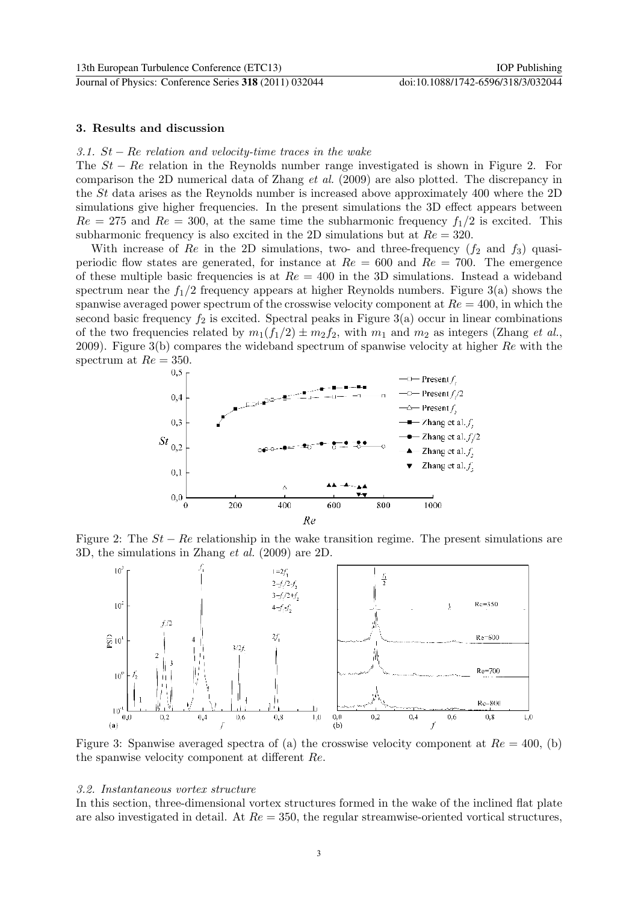#### 3. Results and discussion

#### 3.1.  $St - Re$  relation and velocity-time traces in the wake

The  $St - Re$  relation in the Reynolds number range investigated is shown in Figure 2. For comparison the 2D numerical data of Zhang et al. (2009) are also plotted. The discrepancy in the St data arises as the Reynolds number is increased above approximately 400 where the 2D simulations give higher frequencies. In the present simulations the 3D effect appears between  $Re = 275$  and  $Re = 300$ , at the same time the subharmonic frequency  $f_1/2$  is excited. This subharmonic frequency is also excited in the 2D simulations but at  $Re = 320$ .

With increase of Re in the 2D simulations, two- and three-frequency  $(f_2 \text{ and } f_3)$  quasiperiodic flow states are generated, for instance at  $Re = 600$  and  $Re = 700$ . The emergence of these multiple basic frequencies is at  $Re = 400$  in the 3D simulations. Instead a wideband spectrum near the  $f_1/2$  frequency appears at higher Reynolds numbers. Figure 3(a) shows the spanwise averaged power spectrum of the crosswise velocity component at  $Re = 400$ , in which the second basic frequency  $f_2$  is excited. Spectral peaks in Figure 3(a) occur in linear combinations of the two frequencies related by  $m_1(f_1/2) \pm m_2f_2$ , with  $m_1$  and  $m_2$  as integers (Zhang *et al.*, 2009). Figure 3(b) compares the wideband spectrum of spanwise velocity at higher  $Re$  with the spectrum at  $Re = 350$ .



Figure 2: The  $St - Re$  relationship in the wake transition regime. The present simulations are 3D, the simulations in Zhang et al. (2009) are 2D.



Figure 3: Spanwise averaged spectra of (a) the crosswise velocity component at  $Re = 400$ , (b) the spanwise velocity component at different Re.

#### 3.2. Instantaneous vortex structure

In this section, three-dimensional vortex structures formed in the wake of the inclined flat plate are also investigated in detail. At  $Re = 350$ , the regular streamwise-oriented vortical structures,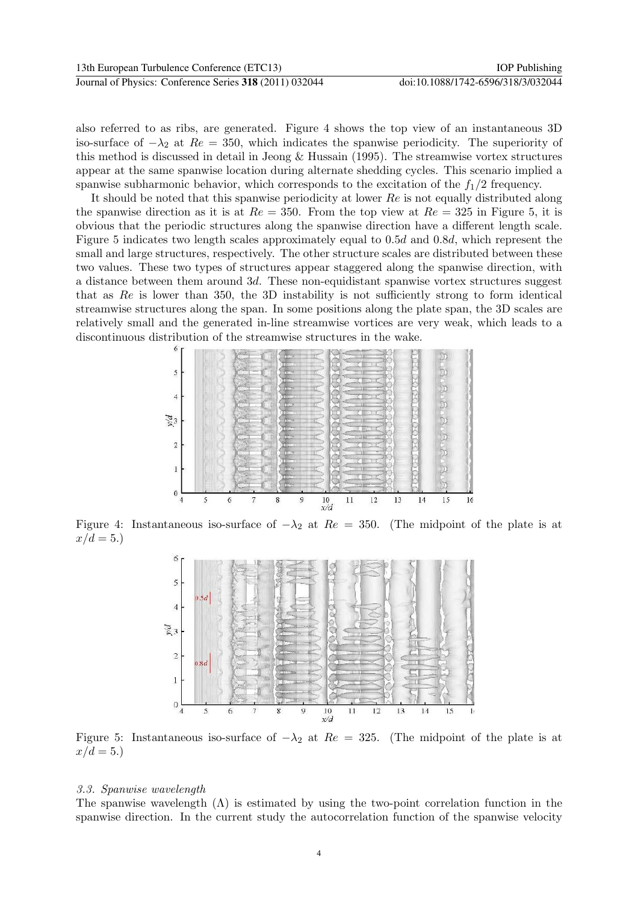also referred to as ribs, are generated. Figure 4 shows the top view of an instantaneous 3D iso-surface of  $-\lambda_2$  at  $Re = 350$ , which indicates the spanwise periodicity. The superiority of this method is discussed in detail in Jeong  $&$  Hussain (1995). The streamwise vortex structures appear at the same spanwise location during alternate shedding cycles. This scenario implied a spanwise subharmonic behavior, which corresponds to the excitation of the  $f_1/2$  frequency.

It should be noted that this spanwise periodicity at lower Re is not equally distributed along the spanwise direction as it is at  $Re = 350$ . From the top view at  $Re = 325$  in Figure 5, it is obvious that the periodic structures along the spanwise direction have a different length scale. Figure 5 indicates two length scales approximately equal to 0.5d and 0.8d, which represent the small and large structures, respectively. The other structure scales are distributed between these two values. These two types of structures appear staggered along the spanwise direction, with a distance between them around 3d. These non-equidistant spanwise vortex structures suggest that as Re is lower than 350, the 3D instability is not sufficiently strong to form identical streamwise structures along the span. In some positions along the plate span, the 3D scales are relatively small and the generated in-line streamwise vortices are very weak, which leads to a discontinuous distribution of the streamwise structures in the wake.



Figure 4: Instantaneous iso-surface of  $-\lambda_2$  at  $Re = 350$ . (The midpoint of the plate is at  $x/d = 5.$ 



Figure 5: Instantaneous iso-surface of  $-\lambda_2$  at  $Re = 325$ . (The midpoint of the plate is at  $x/d = 5.$ 

#### 3.3. Spanwise wavelength

The spanwise wavelength  $(\Lambda)$  is estimated by using the two-point correlation function in the spanwise direction. In the current study the autocorrelation function of the spanwise velocity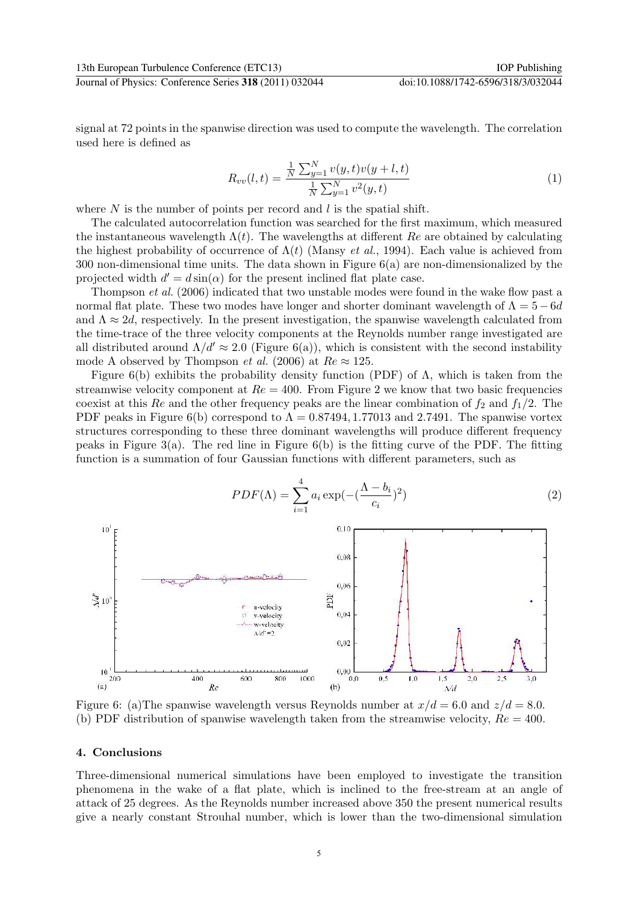signal at 72 points in the spanwise direction was used to compute the wavelength. The correlation used here is defined as

$$
R_{vv}(l,t) = \frac{\frac{1}{N} \sum_{y=1}^{N} v(y,t)v(y+l,t)}{\frac{1}{N} \sum_{y=1}^{N} v^{2}(y,t)}
$$
(1)

where  $N$  is the number of points per record and  $l$  is the spatial shift.

The calculated autocorrelation function was searched for the first maximum, which measured the instantaneous wavelength  $\Lambda(t)$ . The wavelengths at different Re are obtained by calculating the highest probability of occurrence of  $\Lambda(t)$  (Mansy *et al.*, 1994). Each value is achieved from 300 non-dimensional time units. The data shown in Figure 6(a) are non-dimensionalized by the projected width  $d' = d \sin(\alpha)$  for the present inclined flat plate case.

Thompson et al. (2006) indicated that two unstable modes were found in the wake flow past a normal flat plate. These two modes have longer and shorter dominant wavelength of  $\Lambda = 5-6d$ and  $\Lambda \approx 2d$ , respectively. In the present investigation, the spanwise wavelength calculated from the time-trace of the three velocity components at the Reynolds number range investigated are all distributed around  $\Lambda/d' \approx 2.0$  (Figure 6(a)), which is consistent with the second instability mode A observed by Thompson *et al.* (2006) at  $Re \approx 125$ .

Figure 6(b) exhibits the probability density function (PDF) of  $\Lambda$ , which is taken from the streamwise velocity component at  $Re = 400$ . From Figure 2 we know that two basic frequencies coexist at this Re and the other frequency peaks are the linear combination of  $f_2$  and  $f_1/2$ . The PDF peaks in Figure 6(b) correspond to  $\Lambda = 0.87494, 1.77013$  and 2.7491. The spanwise vortex structures corresponding to these three dominant wavelengths will produce different frequency peaks in Figure 3(a). The red line in Figure  $6(b)$  is the fitting curve of the PDF. The fitting function is a summation of four Gaussian functions with different parameters, such as



Figure 6: (a) The spanwise wavelength versus Reynolds number at  $x/d = 6.0$  and  $z/d = 8.0$ . (b) PDF distribution of spanwise wavelength taken from the streamwise velocity,  $Re = 400$ .

#### 4. Conclusions

Three-dimensional numerical simulations have been employed to investigate the transition phenomena in the wake of a flat plate, which is inclined to the free-stream at an angle of attack of 25 degrees. As the Reynolds number increased above 350 the present numerical results give a nearly constant Strouhal number, which is lower than the two-dimensional simulation